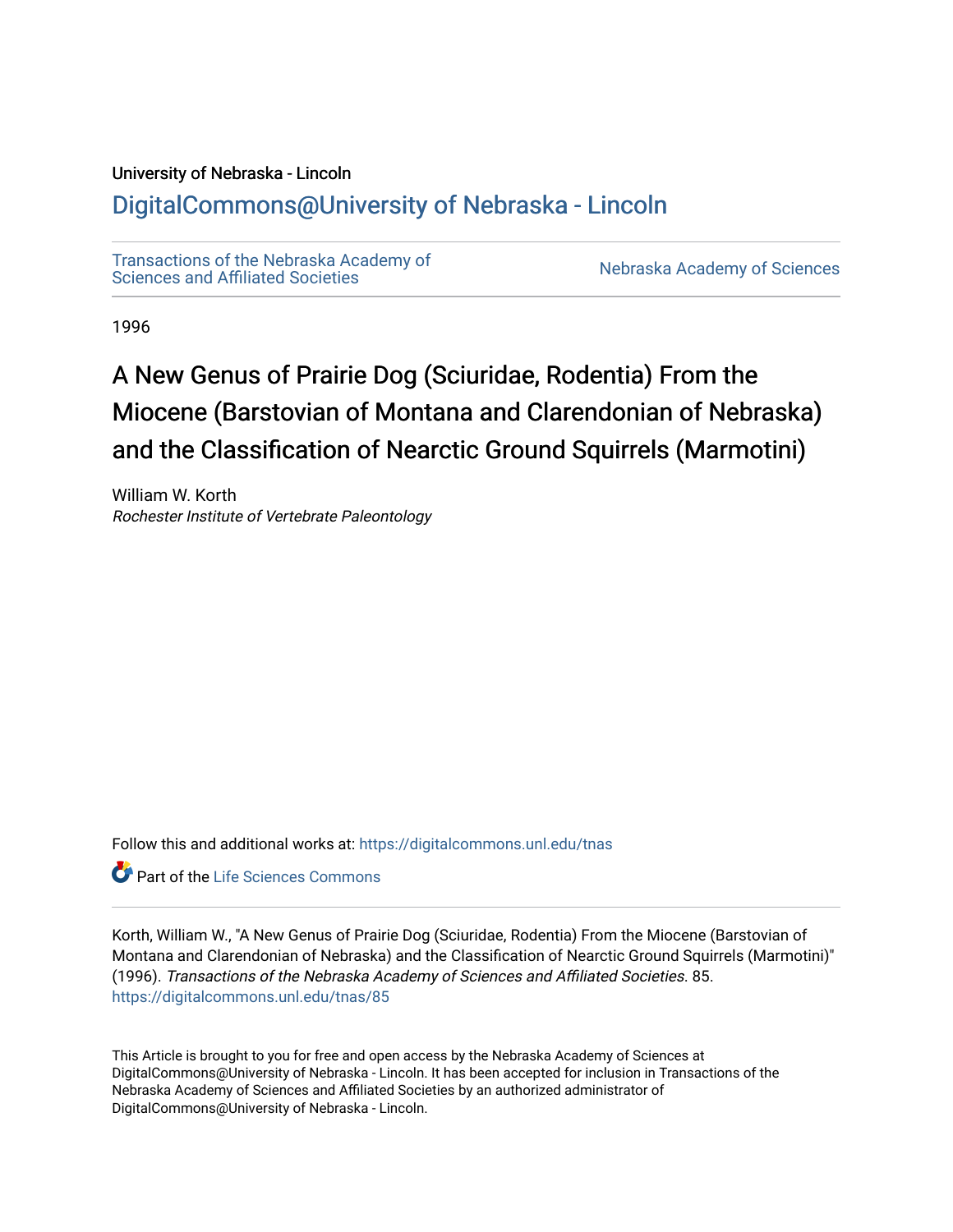# University of Nebraska - Lincoln

# [DigitalCommons@University of Nebraska - Lincoln](https://digitalcommons.unl.edu/)

[Transactions of the Nebraska Academy of](https://digitalcommons.unl.edu/tnas)  Transactions of the Nebraska Academy of Sciences<br>Sciences and Affiliated Societies

1996

# A New Genus of Prairie Dog (Sciuridae, Rodentia) From the Miocene (Barstovian of Montana and Clarendonian of Nebraska) and the Classification of Nearctic Ground Squirrels (Marmotini)

William W. Korth Rochester Institute of Vertebrate Paleontology

Follow this and additional works at: [https://digitalcommons.unl.edu/tnas](https://digitalcommons.unl.edu/tnas?utm_source=digitalcommons.unl.edu%2Ftnas%2F85&utm_medium=PDF&utm_campaign=PDFCoverPages) 

**C** Part of the Life Sciences Commons

Korth, William W., "A New Genus of Prairie Dog (Sciuridae, Rodentia) From the Miocene (Barstovian of Montana and Clarendonian of Nebraska) and the Classification of Nearctic Ground Squirrels (Marmotini)" (1996). Transactions of the Nebraska Academy of Sciences and Affiliated Societies. 85. [https://digitalcommons.unl.edu/tnas/85](https://digitalcommons.unl.edu/tnas/85?utm_source=digitalcommons.unl.edu%2Ftnas%2F85&utm_medium=PDF&utm_campaign=PDFCoverPages)

This Article is brought to you for free and open access by the Nebraska Academy of Sciences at DigitalCommons@University of Nebraska - Lincoln. It has been accepted for inclusion in Transactions of the Nebraska Academy of Sciences and Affiliated Societies by an authorized administrator of DigitalCommons@University of Nebraska - Lincoln.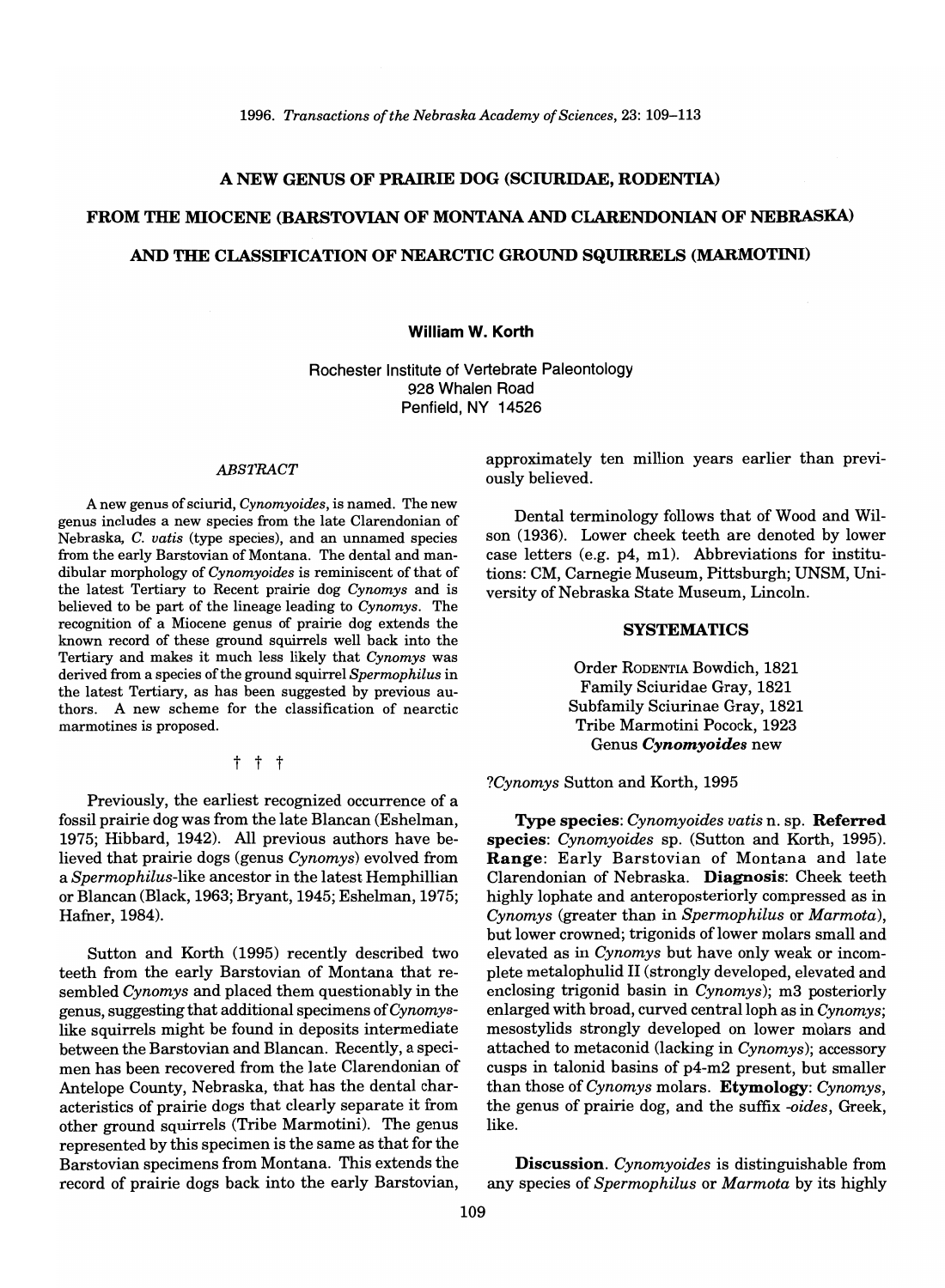# A NEW GENUS OF PRAIRIE DOG (SCIURIDAE, RODENTIA)

# FROM THE MIOCENE (BARSTOVIAN OF MONTANA AND CLARENDONIAN OF NEBRASKA) AND THE CLASSIFICATION OF NEARCTIC GROUND SQUIRRELS (MARMOTINI)

#### William W. Korth

Rochester Institute of Vertebrate Paleontology 928 Whalen Road Penfield, NY 14526

#### *ABSTRACT*

A new genus of sciurid, *Cynomyoides,* is named. The new genus includes a new species from the late Clarendonian of Nebraska, C. *vatis* (type species), and an unnamed species from the early Barstovian of Montana. The dental and mandibular morphology of *Cynomyoides* is reminiscent of that of the latest Tertiary to Recent prairie dog *Cynomys* and is believed to be part of the lineage leading to *Cynomys.* The recognition of a Miocene genus of prairie dog extends the known record of these ground squirrels well back into the Tertiary and makes it much less likely that *Cynomys* was derived from a species of the ground squirrel *Spermophilus* in the latest Tertiary, as has been suggested by previous authors. A new scheme for the classification of nearctic marmotines is proposed.

## t t t

Previously, the earliest recognized occurrence of a fossil prairie dog was from the late Blancan (Eshelman, 1975; Hibbard, 1942). All previous authors have believed that prairie dogs (genus *Cynomys)* evolved from a *Spermophilus-like* ancestor in the latest Hemphillian or Blancan (Black, 1963; Bryant, 1945; Eshelman, 1975; Hafner, 1984).

Sutton and Korth (1995) recently described two teeth from the early Barstovian of Montana that resembled *Cynomys* and placed them questionably in the genus, suggesting that additional specimens of *Cynomys*like squirrels might be found in deposits intermediate between the Barstovian and Blancan. Recently, a specimen has been recovered from the late Clarendonian of Antelope County, Nebraska, that has the dental characteristics of prairie dogs that clearly separate it from other ground squirrels (Tribe Marmotini). The genus represented by this specimen is the same as that for the Barstovian specimens from Montana. This extends the record of prairie dogs back into the early Barstovian,

approximately ten million years earlier than previously believed.

Dental terminology follows that of Wood and Wilson (1936). Lower cheek teeth are denoted by lower case letters (e.g. p4, m1). Abbreviations for institutions: CM, Carnegie Museum, Pittsburgh; UNSM, University of Nebraska State Museum, Lincoln.

#### SYSTEMATICS

Order RODENTIA Bowdich, 1821 Family Sciuridae Gray, 1821 Subfamily Sciurinae Gray, 1821 Tribe Marmotini Pocock, 1923 Genus *Cynomyoides* new

*?Cynomys* Sutton and Korth, 1995

Type species: *Cynomyoides vatis* n. sp. Referred species: *Cynomyoides* sp. (Sutton and Korth, 1995). Range: Early Barstovian of Montana and late Clarendonian of Nebraska. Diagnosis: Cheek teeth highly lophate and anteroposteriorly compressed as in *Cynomys* (greater than in *Spermophilus* or *Marmota),*  but lower crowned; trigonids of lower molars small and elevated as in *Cynomys* but have only weak or incomplete metalophulid II (strongly developed, elevated and enclosing trigonid basin in *Cynomys);* m3 posteriorly enlarged with broad, curved centralloph as in *Cynomys;*  mesostylids strongly developed on lower molars and attached to metaconid (lacking in *Cynomys);* accessory cusps in talonid basins of p4-m2 present, but smaller than those *ofCynomys* molars. Etymology: *Cynomys,*  the genus of prairie dog, and the suffix *-oides,* Greek, like.

Discussion. *Cynomyoides* is distinguishable from any species of *Spermophilus* or *Marmota* by its highly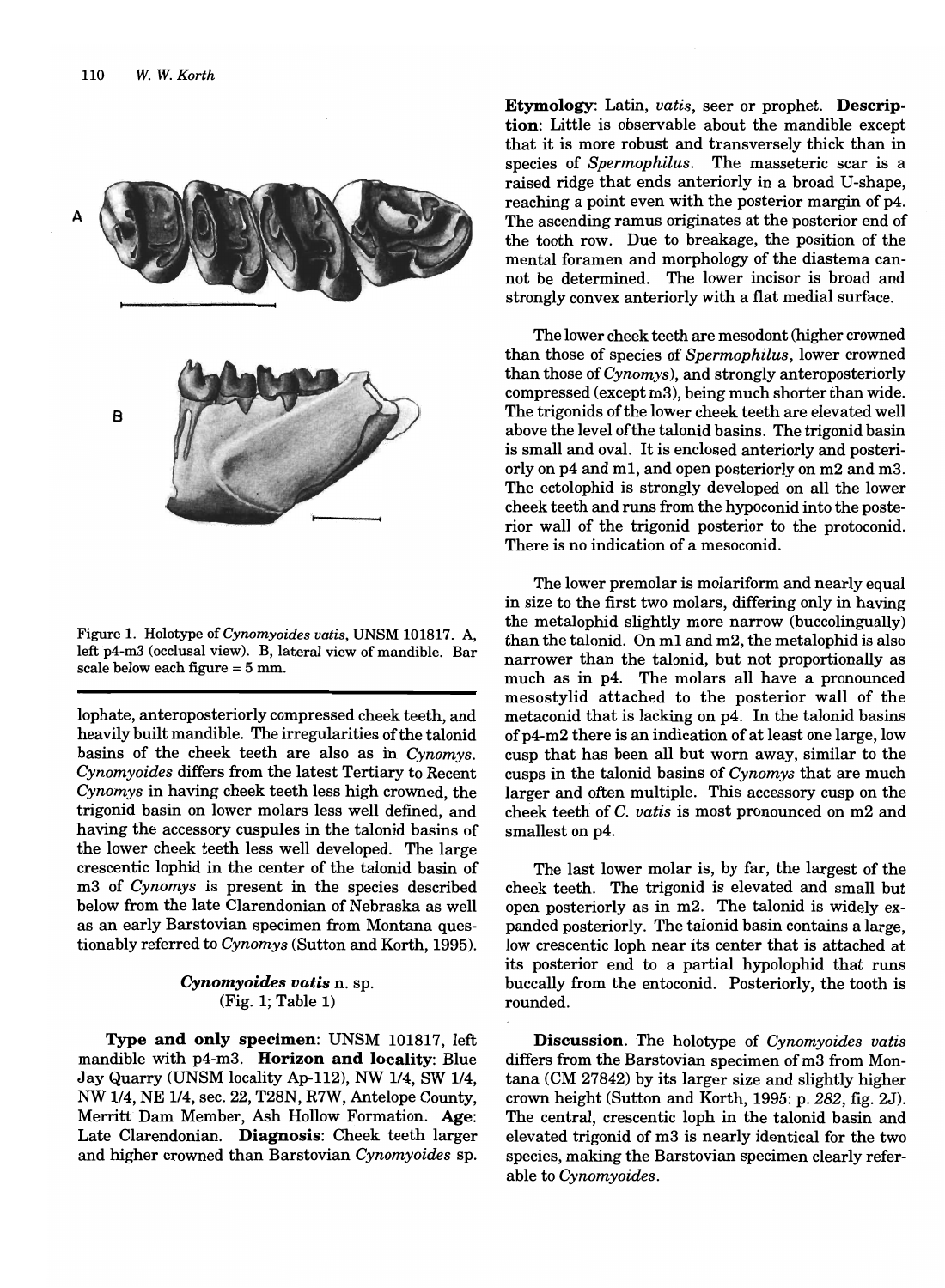

Figure 1. Holotype *ofCynomyoides vatis,* UNSM 101817. A, left p4-m3 (occlusal view). B, lateral view of mandible. Bar scale below each figure = 5 mm.

lophate, anteroposteriorly compressed cheek teeth, and heavily built mandible. The irregularities of the talonid basins of the cheek teeth are also as in *Cynomys. Cynomyoides* differs from the latest Tertiary to Recent *Cynomys* in having cheek teeth less high crowned, the trigonid basin on lower molars less well defined, and having the accessory cuspules in the talonid basins of the lower cheek teeth less well developed. The large crescentic lophid in the center of the talonid basin of m3 of *Cynomys* is present in the species described below from the late Clarendonian of Nebraska as well as an early Barstovian specimen from Montana questionably referred to *Cynomys* (Sutton and Korth, 1995).

## *Cynomyoides vatis* n. sp. (Fig. 1; Table 1)

Type and only specimen: UNSM 101817, left mandible with p4-m3. Horizon and locality: Blue Jay Quarry (UNSM locality Ap-112), NW 1/4, SW 1/4, NW 1/4, NE 1/4, sec. 22, T28N, R7W, Antelope County, Merritt Dam Member, Ash Hollow Formation. Age: Late Clarendonian. Diagnosis: Cheek teeth larger and higher crowned than Barstovian *Cynomyoides* sp.

Etymology: Latin, *vatis,* seer or prophet. Description: Little is observable about the mandible except that it is more robust and transversely thick than in species of *Spermophilus.* The masseteric scar is a raised ridge that ends anteriorly in a broad U-shape, reaching a point even with the posterior margin of p4. The ascending ramus originates at the posterior end of the tooth row. Due to breakage, the position of the mental foramen and morphology of the diastema cannot be determined. The lower incisor is broad and strongly convex anteriorly with a flat medial surface.

The lower cheek teeth are mesodont (higher crowned than those of species of *Spermophilus,* lower crowned than those *ofCynomys),* and strongly anteroposteriorly compressed (except m3), being much shorter than wide. The trigonids of the lower cheek teeth are elevated well above the level of the talonid basins. The trigonid basin is small and oval. It is enclosed anteriorly and posteriorly on p4 and ml, and open posteriorly on m2 and m3. The ectolophid is strongly developed on all the lower cheek teeth and runs from the hypoconid into the posterior wall of the trigonid posterior to the protoconid. There is no indication of a mesoconid.

The lower premolar is molariform and nearly equal in size to the first two molars, differing only in having the metalophid slightly more narrow (buccolingually) than the talonid. On ml and m2, the metalophid is also narrower than the talonid, but not proportionally as much as in p4. The molars all have a pronounced mesostylid attached to the posterior wall of the metaconid that is lacking on p4. In the talonid basins of p4-m2 there is an indication of at least one large, low cusp that has been all but worn away, similar to the cusps in the talonid basins of *Cynomys* that are much larger and often multiple. This accessory cusp on the cheek teeth of C. *vatis* is most pronounced on m2 and smallest on p4.

The last lower molar is, by far, the largest of the cheek teeth. The trigonid is elevated and small but open posteriorly as in m2. The talonid is widely expanded posteriorly. The talonid basin contains a large, low crescentic loph near its center that is attached at its posterior end to a partial hypolophid that runs buccally from the entoconid. Posteriorly, the tooth is rounded.

Discussion. The holotype of *Cynomyoides vatis*  differs from the Barstovian specimen of m3 from Montana (CM 27842) by its larger size and slightly higher crown height (Sutton and Korth, 1995: p. 282, fig. 2J). The central, crescentic loph in the talonid basin and elevated trigonid of m3 is nearly identical for the two species, making the Barstovian specimen clearly referable to *Cynomyoides.*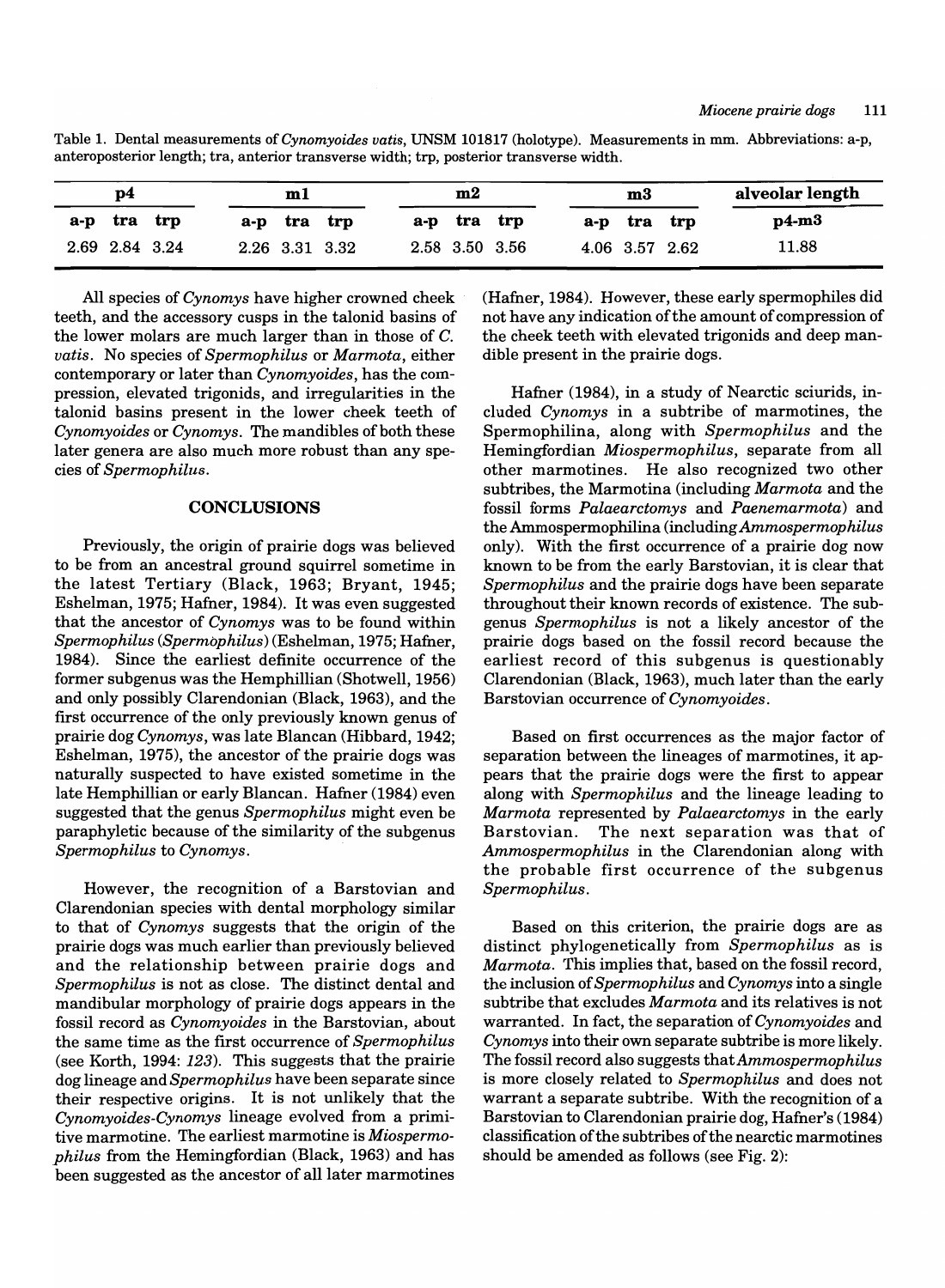| p4  |                |         |     | ml             |     |     | m2  |                |     | m3             |     | alveolar length |
|-----|----------------|---------|-----|----------------|-----|-----|-----|----------------|-----|----------------|-----|-----------------|
| a-p |                | tra trp | a-p | tra            | trp | a-p | tra | trp            | a-p | tra            | trp | $p4-m3$         |
|     | 2.69 2.84 3.24 |         |     | 2.26 3.31 3.32 |     |     |     | 2.58 3.50 3.56 |     | 4.06 3.57 2.62 |     | 11.88           |

Table 1. Dental measurements of *Cynomyoides vatis,* UNSM 101817 (holotype). Measurements in mm. Abbreviations: a-p, anteroposterior length; tra, anterior transverse width; trp, posterior transverse width.

All species of *Cynomys* have higher crowned cheek teeth, and the accessory cusps in the talonid basins of the lower molars are much larger than in those of C. *vatis.* No species of *Spermophilus* or *Marmota,* either contemporary or later than *Cynomyoides,* has the compression, elevated trigonids, and irregularities in the talonid basins present in the lower cheek teeth of *Cynomyoides* or *Cynomys.* The mandibles of both these later genera are also much more robust than any species of *Spermophilus.* 

#### **CONCLUSIONS**

Previously, the origin of prairie dogs was believed to be from an ancestral ground squirrel sometime in the latest Tertiary (Black, 1963; Bryant, 1945; Eshelman, 1975; Hafner, 1984). It was even suggested that the ancestor of *Cynomys* was to be found within  $Spermophilus$  (Spermophilus) (Eshelman, 1975; Hafner, 1984). Since the earliest definite occurrence of the former subgenus was the Hemphillian (Shotwell, 1956) and only possibly Clarendonian (Black, 1963), and the first occurrence of the only previously known genus of prairie dog *Cynomys,* was late Blancan (Hibbard, 1942; Eshelman, 1975), the ancestor of the prairie dogs was naturally suspected to have existed sometime in the late Hemphillian or early Blancan. Hafner (1984) even suggested that the genus *Spermophilus* might even be paraphyletic because of the similarity of the subgenus *Spermophilus* to *Cynomys.* 

However, the recognition of a Barstovian and Clarendonian species with dental morphology similar to that of *Cynomys* suggests that the origin of the prairie dogs was much earlier than previously believed and the relationship between prairie dogs and *Spermophilus* is not as close. The distinct dental and mandibular morphology of prairie dogs appears in the fossil record as *Cynomyoides* in the Barstovian, about the same time as the first occurrence of *Spermophilus*  (see Korth, 1994: 123). This suggests that the prairie dog lineage and *Spermophilus* have been separate since their respective origins. It is not unlikely that the *Cynomyoides-Cynomys* lineage evolved from a primitive marmotine. The earliest marmotine is *Miospermophil us* from the Hemingfordian (Black, 1963) and has been suggested as the ancestor of all later marmotines

(Hafner,1984). However, these early spermophiles did not have any indication of the amount of compression of the cheek teeth with elevated trigonids and deep mandible present in the prairie dogs.

Hafner (1984), in a study of Nearctic sciurids, included *Cynomys* in a subtribe of marmotines, the Spermophilina, along with *Spermophilus* and the Hemingfordian *Miospermophilus,* separate from all other marmotines. He also recognized two other subtribes, the Marmotina (including *Marmota* and the fossil forms *Palaearctomys* and *Paenemarmota)* and the Ammospermophilina (including *Ammospermophilus*  only). With the first occurrence of a prairie dog now known to be from the early Barstovian, it is clear that *Spermophilus* and the prairie dogs have been separate throughout their known records of existence. The subgenus *Spermophilus* is not a likely ancestor of the prairie dogs based on the fossil record because the earliest record of this subgenus is questionably Clarendonian (Black, 1963), much later than the early Barstovian occurrence of *Cynomyoides.* 

Based on first occurrences as the major factor of separation between the lineages of marmotines, it appears that the prairie dogs were the first to appear along with *Spermophilus* and the lineage leading to *Marmota* represented by *Palaearctomys* in the early Barstovian. The next separation was that of *Ammospermophilus* in the Clarendonian along with the probable first occurrence of the subgenus *Spermophilus.* 

Based on this criterion, the prairie dogs are as distinct phylogenetic ally from *Spermophilus* as is *Marmota.* This implies that, based on the fossil record, the inclusion of *Spermophilus* and *Cynomys* into a single subtribe that excludes *Marmota* and its relatives is not warranted. **In** fact, the separation of *Cynomyoides* and *Cynomys* into their own separate subtribe is more likely. The fossil record also suggests *thatAmmospermophilus*  is more closely related to *Spermophilus* and does not warrant a separate subtribe. With the recognition of a Barstovian to Clarendonian prairie dog, Hafner's (1984) classification of the subtribes of the nearctic marmotines should be amended as follows (see Fig. 2):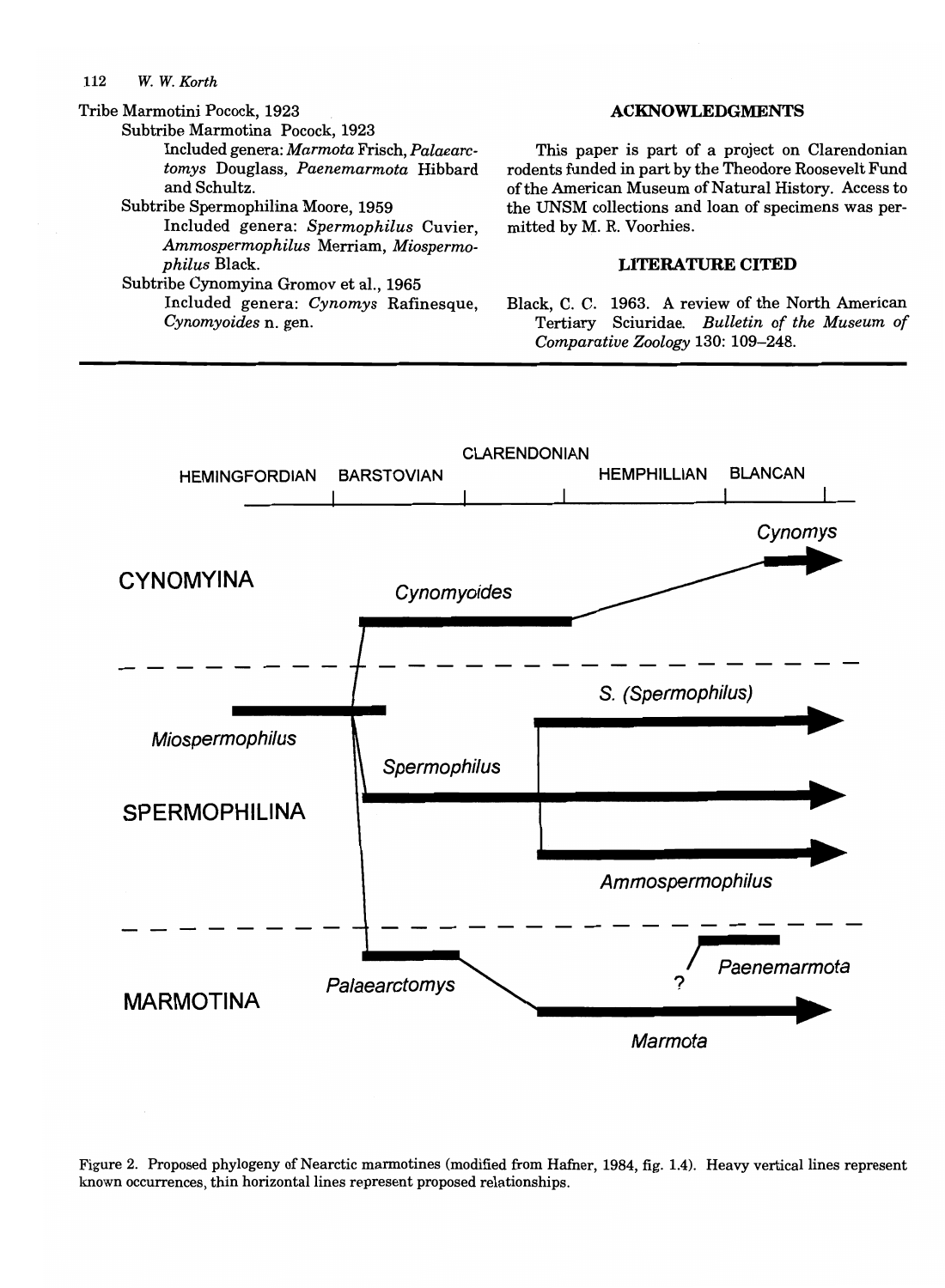#### 112 *W. W. Korth*

Tribe Marmotini Pocock, 1923

- Subtribe Marmotina Pocock, 1923 Included genera: *Marmota* Frisch, *Palaearctomys* Douglass, *Paenemarmota* Hibbard and Schultz.
- Subtribe Spermophilina Moore, 1959

Included genera: *Spermophilus* Cuvier, *Ammospermophilus* Merriam, *Miospermophil us* Black.

Subtribe Cynomyina Gromov et aI., 1965 Included genera: *Cynomys* Rafinesque, *Cynomyoides* n. gen.

#### ACKNOWLEDGMENTS

This paper is part of a project on Clarendonian rodents funded in part by the Theodore Roosevelt Fund of the American Museum of Natural History. Access to the UNSM collections and loan of specimens was permitted by M. R. Voorhies.

## LITERATURE CITED

Black, C. C. 1963. A review of the North American Tertiary Sciuridae. *Bulletin of the Museum of Comparative Zoology* 130: 109-248.



Figure 2. Proposed phylogeny of Nearctic marmotines (modified from Hafner, 1984, fig. 1.4). Heavy vertical lines represent known occurrences, thin horizontal lines represent proposed relationships.